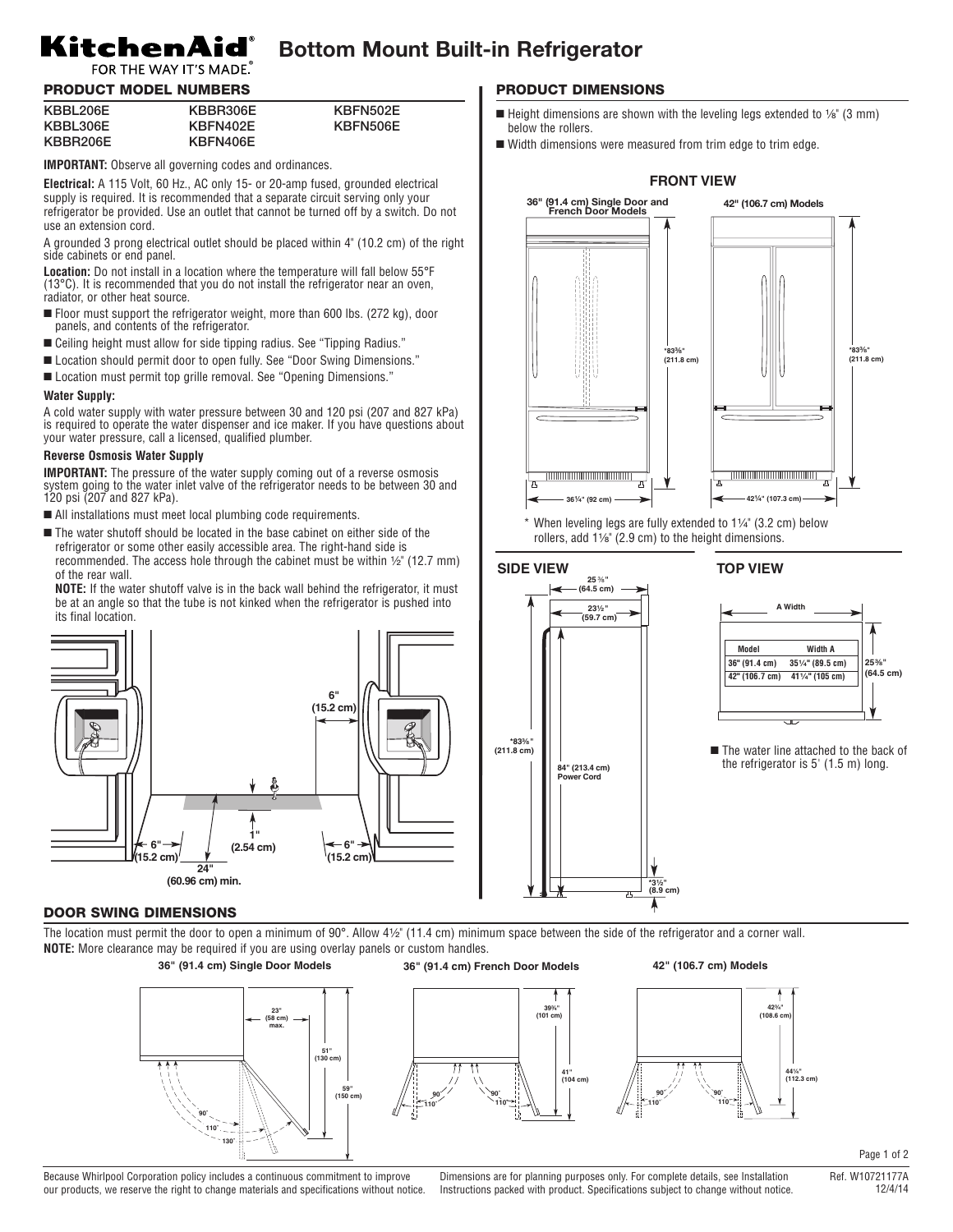## **Bottom Mount Built-in Refrigerator**

## KitchenAid® FOR THE WAY IT'S MADE.

## PRODUCT MODEL NUMBERS

| KBBL206E | KBBR306E | KBFN502E |
|----------|----------|----------|
| KBBL306E | KBFN402E | KBFN506E |
| KBBR206E | KBFN406E |          |

**IMPORTANT:** Observe all governing codes and ordinances.

**Electrical:** A 115 Volt, 60 Hz., AC only 15- or 20-amp fused, grounded electrical supply is required. It is recommended that a separate circuit serving only your refrigerator be provided. Use an outlet that cannot be turned off by a switch. Do not use an extension cord.

A grounded 3 prong electrical outlet should be placed within 4" (10.2 cm) of the right side cabinets or end panel.

**Location:** Do not install in a location where the temperature will fall below 55°F (13°C). It is recommended that you do not install the refrigerator near an oven, radiator, or other heat source.

- Floor must support the refrigerator weight, more than 600 lbs. (272 kg), door panels, and contents of the refrigerator.
- Ceiling height must allow for side tipping radius. See "Tipping Radius."
- Location should permit door to open fully. See "Door Swing Dimensions."
- Location must permit top grille removal. See "Opening Dimensions."

## **Water Supply:**

A cold water supply with water pressure between 30 and 120 psi (207 and 827 kPa) is required to operate the water dispenser and ice maker. If you have questions about your water pressure, call a licensed, qualified plumber.

## **Reverse Osmosis Water Supply**

**IMPORTANT:** The pressure of the water supply coming out of a reverse osmosis system going to the water inlet valve of the refrigerator needs to be between 30 and 120 psi (207 and 827 kPa).

- All installations must meet local plumbing code requirements.
- The water shutoff should be located in the base cabinet on either side of the refrigerator or some other easily accessible area. The right-hand side is recommended. The access hole through the cabinet must be within  $\frac{1}{2}$ " (12.7 mm) of the rear wall.

**NOTE:** If the water shutoff valve is in the back wall behind the refrigerator, it must be at an angle so that the tube is not kinked when the refrigerator is pushed into its final location.



## DOOR SWING DIMENSIONS

The location must permit the door to open a minimum of  $90^\circ$ . Allow  $4\frac{1}{2}$  (11.4 cm) minimum space between the side of the refrigerator and a corner wall. **NOTE:** More clearance may be required if you are using overlay panels or custom handles.

> **110˚ 90˚**

**110˚ 90˚**

**39³⁄₄" (101 cm)**

**41" (104 cm)**



Because Whirlpool Corporation policy includes a continuous commitment to improve our products, we reserve the right to change materials and specifications without notice.

Dimensions are for planning purposes only. For complete details, see Installation Instructions packed with product. Specifications subject to change without notice.

## PRODUCT DIMENSIONS

- Height dimensions are shown with the leveling legs extended to  $\frac{1}{6}$ " (3 mm) below the rollers.
- Width dimensions were measured from trim edge to trim edge.



When leveling legs are fully extended to  $1\frac{1}{4}$ " (3.2 cm) below rollers, add  $1\frac{1}{8}$ " (2.9 cm) to the height dimensions.

## **SIDE VIEW** 25 %



## **25³⁄₈" (64.5 cm) 4**1¹⁄₄**" Model Width A 36" (91.4 cm) 35¹⁄₄" (89.5 cm) 42" (106.7 cm) 41¹⁄₄" (105 cm) A Width**

■ The water line attached to the back of the refrigerator is 5' (1.5 m) long.